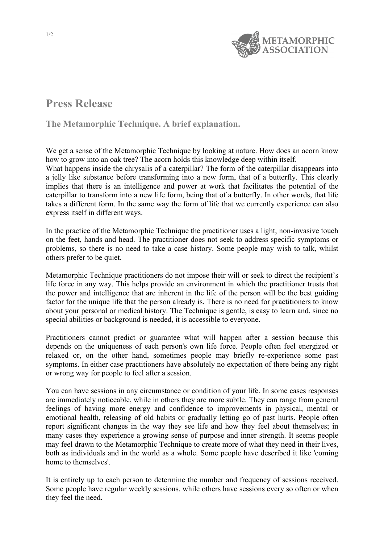

## **Press Release**

## **The Metamorphic Technique. A brief explanation.**

We get a sense of the Metamorphic Technique by looking at nature. How does an acorn know how to grow into an oak tree? The acorn holds this knowledge deep within itself. What happens inside the chrysalis of a caterpillar? The form of the caterpillar disappears into a jelly like substance before transforming into a new form, that of a butterfly. This clearly implies that there is an intelligence and power at work that facilitates the potential of the caterpillar to transform into a new life form, being that of a butterfly. In other words, that life takes a different form. In the same way the form of life that we currently experience can also express itself in different ways.

In the practice of the Metamorphic Technique the practitioner uses a light, non-invasive touch on the feet, hands and head. The practitioner does not seek to address specific symptoms or problems, so there is no need to take a case history. Some people may wish to talk, whilst others prefer to be quiet.

Metamorphic Technique practitioners do not impose their will or seek to direct the recipient's life force in any way. This helps provide an environment in which the practitioner trusts that the power and intelligence that are inherent in the life of the person will be the best guiding factor for the unique life that the person already is. There is no need for practitioners to know about your personal or medical history. The Technique is gentle, is easy to learn and, since no special abilities or background is needed, it is accessible to everyone.

Practitioners cannot predict or guarantee what will happen after a session because this depends on the uniqueness of each person's own life force. People often feel energized or relaxed or, on the other hand, sometimes people may briefly re-experience some past symptoms. In either case practitioners have absolutely no expectation of there being any right or wrong way for people to feel after a session.

You can have sessions in any circumstance or condition of your life. In some cases responses are immediately noticeable, while in others they are more subtle. They can range from general feelings of having more energy and confidence to improvements in physical, mental or emotional health, releasing of old habits or gradually letting go of past hurts. People often report significant changes in the way they see life and how they feel about themselves; in many cases they experience a growing sense of purpose and inner strength. It seems people may feel drawn to the Metamorphic Technique to create more of what they need in their lives, both as individuals and in the world as a whole. Some people have described it like 'coming home to themselves'.

It is entirely up to each person to determine the number and frequency of sessions received. Some people have regular weekly sessions, while others have sessions every so often or when they feel the need.